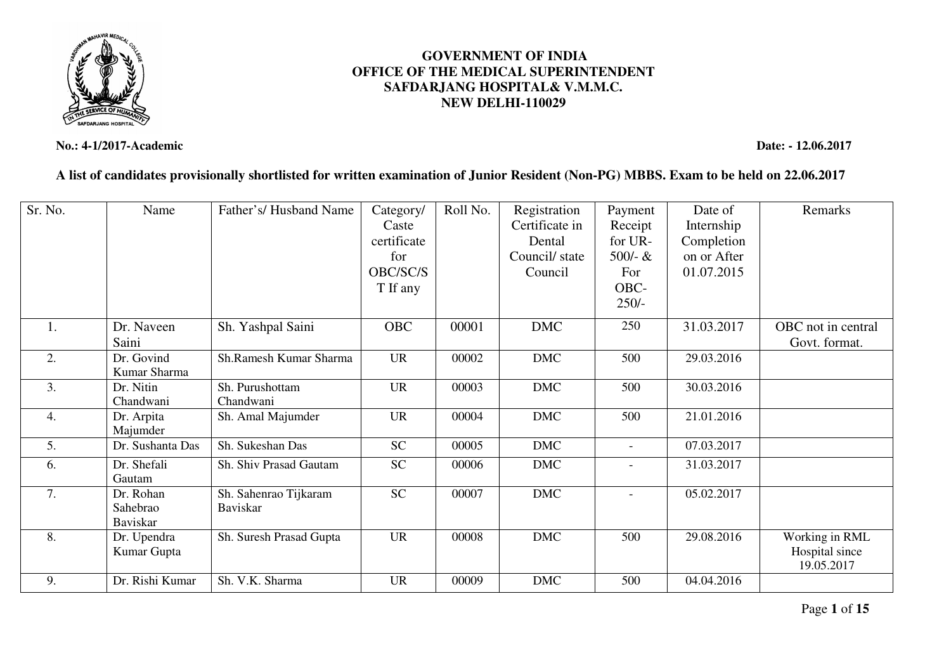

#### **No.: 4-1/2017-Academic Date: - 12.06.2017**

### **A list of candidates provisionally shortlisted for written examination of Junior Resident (Non-PG) MBBS. Exam to be held on 22.06.2017**

**GOVERNMENT OF INDIA OFFICE OF THE MEDICAL SUPERINTENDENTSAFDARJANG HOSPITAL& V.M.M.C. NEW DELHI-110029** 

| Sr. No. | Name             | Father's/Husband Name   | Category/   | Roll No. | Registration   | Payment                      | Date of     | Remarks            |
|---------|------------------|-------------------------|-------------|----------|----------------|------------------------------|-------------|--------------------|
|         |                  |                         | Caste       |          | Certificate in | Receipt                      | Internship  |                    |
|         |                  |                         | certificate |          | Dental         | for UR-                      | Completion  |                    |
|         |                  |                         | for         |          | Council/state  | $500 - &$                    | on or After |                    |
|         |                  |                         | OBC/SC/S    |          | Council        | For                          | 01.07.2015  |                    |
|         |                  |                         | T If any    |          |                | OBC-                         |             |                    |
|         |                  |                         |             |          |                | $250/-$                      |             |                    |
| 1.      | Dr. Naveen       | Sh. Yashpal Saini       | <b>OBC</b>  | 00001    | <b>DMC</b>     | 250                          | 31.03.2017  | OBC not in central |
|         | Saini            |                         |             |          |                |                              |             | Govt. format.      |
| 2.      | Dr. Govind       | Sh.Ramesh Kumar Sharma  | <b>UR</b>   | 00002    | <b>DMC</b>     | 500                          | 29.03.2016  |                    |
|         | Kumar Sharma     |                         |             |          |                |                              |             |                    |
| 3.      | Dr. Nitin        | Sh. Purushottam         | <b>UR</b>   | 00003    | <b>DMC</b>     | 500                          | 30.03.2016  |                    |
|         | Chandwani        | Chandwani               |             |          |                |                              |             |                    |
| 4.      | Dr. Arpita       | Sh. Amal Majumder       | <b>UR</b>   | 00004    | <b>DMC</b>     | 500                          | 21.01.2016  |                    |
|         | Majumder         |                         |             |          |                |                              |             |                    |
| 5.      | Dr. Sushanta Das | Sh. Sukeshan Das        | <b>SC</b>   | 00005    | <b>DMC</b>     | $\overline{\phantom{a}}$     | 07.03.2017  |                    |
| 6.      | Dr. Shefali      | Sh. Shiv Prasad Gautam  | <b>SC</b>   | 00006    | <b>DMC</b>     | $\qquad \qquad \blacksquare$ | 31.03.2017  |                    |
|         | Gautam           |                         |             |          |                |                              |             |                    |
| 7.      | Dr. Rohan        | Sh. Sahenrao Tijkaram   | <b>SC</b>   | 00007    | <b>DMC</b>     | $\qquad \qquad \blacksquare$ | 05.02.2017  |                    |
|         | Sahebrao         | <b>Baviskar</b>         |             |          |                |                              |             |                    |
|         | Baviskar         |                         |             |          |                |                              |             |                    |
| 8.      | Dr. Upendra      | Sh. Suresh Prasad Gupta | <b>UR</b>   | 00008    | <b>DMC</b>     | 500                          | 29.08.2016  | Working in RML     |
|         | Kumar Gupta      |                         |             |          |                |                              |             | Hospital since     |
|         |                  |                         |             |          |                |                              |             | 19.05.2017         |
| 9.      | Dr. Rishi Kumar  | Sh. V.K. Sharma         | <b>UR</b>   | 00009    | <b>DMC</b>     | 500                          | 04.04.2016  |                    |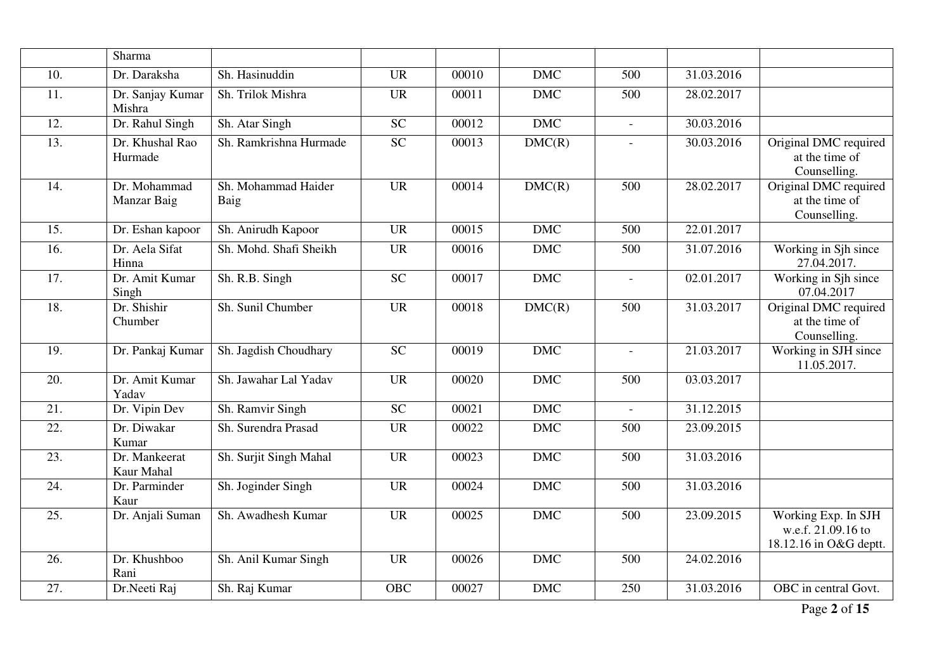|                   | Sharma                      |                             |                 |       |            |              |            |                                                                     |
|-------------------|-----------------------------|-----------------------------|-----------------|-------|------------|--------------|------------|---------------------------------------------------------------------|
| $\overline{10}$ . | Dr. Daraksha                | Sh. Hasinuddin              | <b>UR</b>       | 00010 | <b>DMC</b> | 500          | 31.03.2016 |                                                                     |
| 11.               | Dr. Sanjay Kumar<br>Mishra  | Sh. Trilok Mishra           | <b>UR</b>       | 00011 | <b>DMC</b> | 500          | 28.02.2017 |                                                                     |
| 12.               | Dr. Rahul Singh             | Sh. Atar Singh              | <b>SC</b>       | 00012 | <b>DMC</b> | $\equiv$     | 30.03.2016 |                                                                     |
| $\overline{13}$ . | Dr. Khushal Rao<br>Hurmade  | Sh. Ramkrishna Hurmade      | $\overline{SC}$ | 00013 | DMC(R)     |              | 30.03.2016 | Original DMC required<br>at the time of<br>Counselling.             |
| 14.               | Dr. Mohammad<br>Manzar Baig | Sh. Mohammad Haider<br>Baig | <b>UR</b>       | 00014 | DMC(R)     | 500          | 28.02.2017 | Original DMC required<br>at the time of<br>Counselling.             |
| $\overline{15}$ . | Dr. Eshan kapoor            | Sh. Anirudh Kapoor          | $\overline{UR}$ | 00015 | <b>DMC</b> | 500          | 22.01.2017 |                                                                     |
| 16.               | Dr. Aela Sifat<br>Hinna     | Sh. Mohd. Shafi Sheikh      | <b>UR</b>       | 00016 | <b>DMC</b> | 500          | 31.07.2016 | Working in Sjh since<br>27.04.2017.                                 |
| 17.               | Dr. Amit Kumar<br>Singh     | Sh. R.B. Singh              | <b>SC</b>       | 00017 | <b>DMC</b> | $\equiv$     | 02.01.2017 | Working in Sjh since<br>07.04.2017                                  |
| $\overline{18}$ . | Dr. Shishir<br>Chumber      | Sh. Sunil Chumber           | <b>UR</b>       | 00018 | DMC(R)     | 500          | 31.03.2017 | Original DMC required<br>at the time of<br>Counselling.             |
| 19.               | Dr. Pankaj Kumar            | Sh. Jagdish Choudhary       | <b>SC</b>       | 00019 | <b>DMC</b> |              | 21.03.2017 | Working in SJH since<br>11.05.2017.                                 |
| 20.               | Dr. Amit Kumar<br>Yadav     | Sh. Jawahar Lal Yadav       | <b>UR</b>       | 00020 | <b>DMC</b> | 500          | 03.03.2017 |                                                                     |
| 21.               | Dr. Vipin Dev               | Sh. Ramvir Singh            | <b>SC</b>       | 00021 | <b>DMC</b> | $\mathbf{r}$ | 31.12.2015 |                                                                     |
| 22.               | Dr. Diwakar<br>Kumar        | Sh. Surendra Prasad         | <b>UR</b>       | 00022 | <b>DMC</b> | 500          | 23.09.2015 |                                                                     |
| 23.               | Dr. Mankeerat<br>Kaur Mahal | Sh. Surjit Singh Mahal      | <b>UR</b>       | 00023 | <b>DMC</b> | 500          | 31.03.2016 |                                                                     |
| 24.               | Dr. Parminder<br>Kaur       | Sh. Joginder Singh          | <b>UR</b>       | 00024 | <b>DMC</b> | 500          | 31.03.2016 |                                                                     |
| $\overline{25}$ . | Dr. Anjali Suman            | Sh. Awadhesh Kumar          | <b>UR</b>       | 00025 | <b>DMC</b> | 500          | 23.09.2015 | Working Exp. In SJH<br>w.e.f. 21.09.16 to<br>18.12.16 in O&G deptt. |
| 26.               | Dr. Khushboo<br>Rani        | Sh. Anil Kumar Singh        | <b>UR</b>       | 00026 | <b>DMC</b> | 500          | 24.02.2016 |                                                                     |
| 27.               | Dr.Neeti Raj                | Sh. Raj Kumar               | <b>OBC</b>      | 00027 | <b>DMC</b> | 250          | 31.03.2016 | OBC in central Govt.                                                |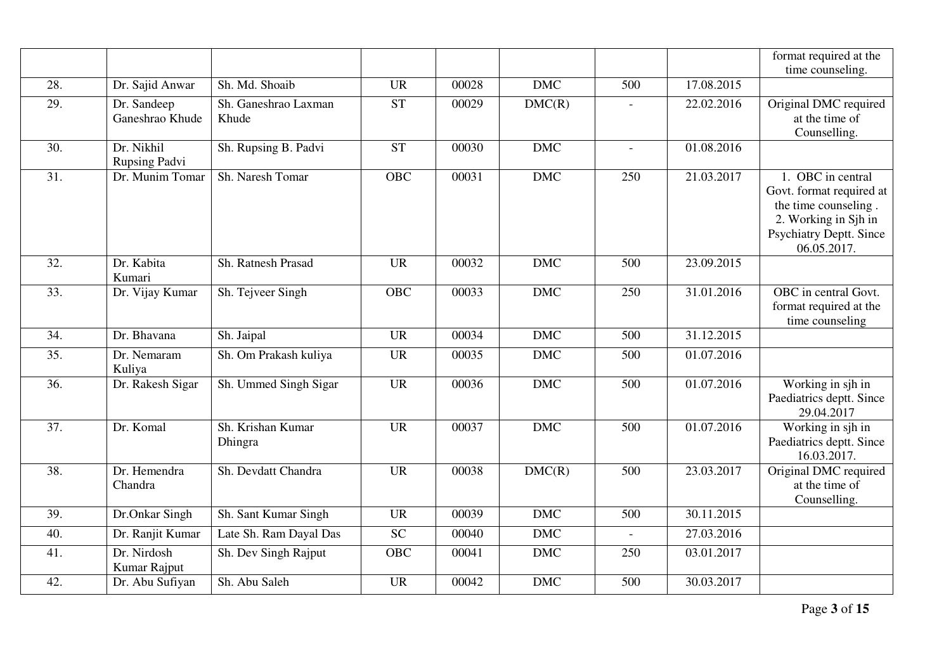|     |                                    |                        |            |       |                         |                |            | format required at the         |
|-----|------------------------------------|------------------------|------------|-------|-------------------------|----------------|------------|--------------------------------|
|     |                                    |                        |            |       |                         |                |            | time counseling.               |
| 28. | Dr. Sajid Anwar                    | Sh. Md. Shoaib         | <b>UR</b>  | 00028 | <b>DMC</b>              | 500            | 17.08.2015 |                                |
| 29. | Dr. Sandeep                        | Sh. Ganeshrao Laxman   | ST         | 00029 | DMC(R)                  |                | 22.02.2016 | Original DMC required          |
|     | Ganeshrao Khude                    | Khude                  |            |       |                         |                |            | at the time of                 |
|     |                                    |                        |            |       |                         |                |            | Counselling.                   |
| 30. | Dr. Nikhil<br><b>Rupsing Padvi</b> | Sh. Rupsing B. Padvi   | <b>ST</b>  | 00030 | <b>DMC</b>              | $\equiv$       | 01.08.2016 |                                |
| 31. | Dr. Munim Tomar                    | Sh. Naresh Tomar       | <b>OBC</b> | 00031 | <b>DMC</b>              | 250            | 21.03.2017 | 1. OBC in central              |
|     |                                    |                        |            |       |                         |                |            | Govt. format required at       |
|     |                                    |                        |            |       |                         |                |            | the time counseling.           |
|     |                                    |                        |            |       |                         |                |            | 2. Working in Sjh in           |
|     |                                    |                        |            |       |                         |                |            | <b>Psychiatry Deptt. Since</b> |
|     |                                    |                        |            |       |                         |                |            | 06.05.2017.                    |
| 32. | Dr. Kabita<br>Kumari               | Sh. Ratnesh Prasad     | <b>UR</b>  | 00032 | $\overline{\text{DMC}}$ | 500            | 23.09.2015 |                                |
| 33. | Dr. Vijay Kumar                    | Sh. Tejveer Singh      | <b>OBC</b> | 00033 | <b>DMC</b>              | 250            | 31.01.2016 | OBC in central Govt.           |
|     |                                    |                        |            |       |                         |                |            | format required at the         |
|     |                                    |                        |            |       |                         |                |            | time counseling                |
| 34. | Dr. Bhavana                        | Sh. Jaipal             | <b>UR</b>  | 00034 | <b>DMC</b>              | 500            | 31.12.2015 |                                |
| 35. | Dr. Nemaram<br>Kuliya              | Sh. Om Prakash kuliya  | <b>UR</b>  | 00035 | <b>DMC</b>              | 500            | 01.07.2016 |                                |
| 36. | Dr. Rakesh Sigar                   | Sh. Ummed Singh Sigar  | <b>UR</b>  | 00036 | <b>DMC</b>              | 500            | 01.07.2016 | Working in sjh in              |
|     |                                    |                        |            |       |                         |                |            | Paediatrics deptt. Since       |
|     |                                    |                        |            |       |                         |                |            | 29.04.2017                     |
| 37. | Dr. Komal                          | Sh. Krishan Kumar      | <b>UR</b>  | 00037 | <b>DMC</b>              | 500            | 01.07.2016 | Working in sjh in              |
|     |                                    | Dhingra                |            |       |                         |                |            | Paediatrics deptt. Since       |
|     |                                    |                        |            |       |                         |                |            | 16.03.2017.                    |
| 38. | Dr. Hemendra                       | Sh. Devdatt Chandra    | <b>UR</b>  | 00038 | DMC(R)                  | 500            | 23.03.2017 | Original DMC required          |
|     | Chandra                            |                        |            |       |                         |                |            | at the time of                 |
|     |                                    |                        |            |       |                         |                |            | Counselling.                   |
| 39. | Dr.Onkar Singh                     | Sh. Sant Kumar Singh   | <b>UR</b>  | 00039 | <b>DMC</b>              | 500            | 30.11.2015 |                                |
| 40. | Dr. Ranjit Kumar                   | Late Sh. Ram Dayal Das | <b>SC</b>  | 00040 | <b>DMC</b>              | $\blacksquare$ | 27.03.2016 |                                |
| 41. | Dr. Nirdosh                        | Sh. Dev Singh Rajput   | <b>OBC</b> | 00041 | <b>DMC</b>              | 250            | 03.01.2017 |                                |
|     | Kumar Rajput                       |                        |            |       |                         |                |            |                                |
| 42. | Dr. Abu Sufiyan                    | Sh. Abu Saleh          | <b>UR</b>  | 00042 | <b>DMC</b>              | 500            | 30.03.2017 |                                |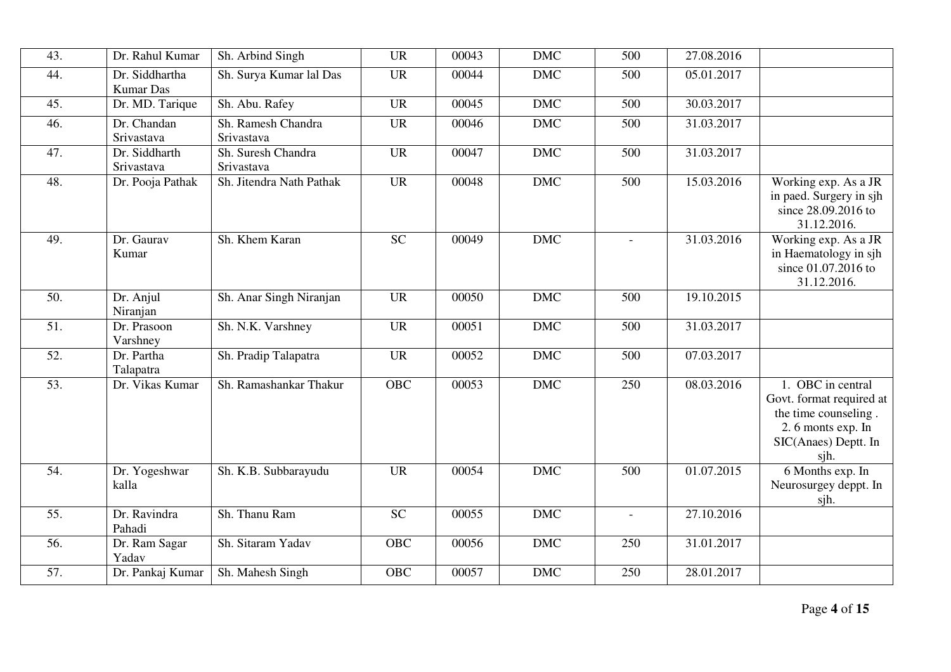| 43.               | Dr. Rahul Kumar                    | Sh. Arbind Singh                 | <b>UR</b>       | 00043 | <b>DMC</b> | 500                      | 27.08.2016 |                                                                                                                            |
|-------------------|------------------------------------|----------------------------------|-----------------|-------|------------|--------------------------|------------|----------------------------------------------------------------------------------------------------------------------------|
| 44.               | Dr. Siddhartha<br><b>Kumar Das</b> | Sh. Surya Kumar lal Das          | <b>UR</b>       | 00044 | <b>DMC</b> | 500                      | 05.01.2017 |                                                                                                                            |
| 45.               | Dr. MD. Tarique                    | Sh. Abu. Rafey                   | <b>UR</b>       | 00045 | <b>DMC</b> | 500                      | 30.03.2017 |                                                                                                                            |
| 46.               | Dr. Chandan<br>Srivastava          | Sh. Ramesh Chandra<br>Srivastava | <b>UR</b>       | 00046 | <b>DMC</b> | 500                      | 31.03.2017 |                                                                                                                            |
| 47.               | Dr. Siddharth<br>Srivastava        | Sh. Suresh Chandra<br>Srivastava | <b>UR</b>       | 00047 | <b>DMC</b> | 500                      | 31.03.2017 |                                                                                                                            |
| 48.               | Dr. Pooja Pathak                   | Sh. Jitendra Nath Pathak         | <b>UR</b>       | 00048 | DMC        | 500                      | 15.03.2016 | Working exp. As a JR<br>in paed. Surgery in sjh<br>since 28.09.2016 to<br>31.12.2016.                                      |
| 49.               | Dr. Gaurav<br>Kumar                | Sh. Khem Karan                   | $\overline{SC}$ | 00049 | <b>DMC</b> |                          | 31.03.2016 | Working exp. As a JR<br>in Haematology in sjh<br>since 01.07.2016 to<br>31.12.2016.                                        |
| 50.               | Dr. Anjul<br>Niranjan              | Sh. Anar Singh Niranjan          | <b>UR</b>       | 00050 | <b>DMC</b> | 500                      | 19.10.2015 |                                                                                                                            |
| $\overline{51}$ . | Dr. Prasoon<br>Varshney            | Sh. N.K. Varshney                | <b>UR</b>       | 00051 | <b>DMC</b> | 500                      | 31.03.2017 |                                                                                                                            |
| 52.               | Dr. Partha<br>Talapatra            | Sh. Pradip Talapatra             | <b>UR</b>       | 00052 | <b>DMC</b> | 500                      | 07.03.2017 |                                                                                                                            |
| $\overline{53}$ . | Dr. Vikas Kumar                    | Sh. Ramashankar Thakur           | <b>OBC</b>      | 00053 | <b>DMC</b> | 250                      | 08.03.2016 | 1. OBC in central<br>Govt. format required at<br>the time counseling.<br>2.6 monts exp. In<br>SIC(Anaes) Deptt. In<br>sjh. |
| 54.               | Dr. Yogeshwar<br>kalla             | Sh. K.B. Subbarayudu             | <b>UR</b>       | 00054 | <b>DMC</b> | 500                      | 01.07.2015 | 6 Months exp. In<br>Neurosurgey deppt. In<br>sjh.                                                                          |
| 55.               | Dr. Ravindra<br>Pahadi             | Sh. Thanu Ram                    | <b>SC</b>       | 00055 | <b>DMC</b> | $\overline{\phantom{a}}$ | 27.10.2016 |                                                                                                                            |
| 56.               | Dr. Ram Sagar<br>Yadav             | Sh. Sitaram Yadav                | <b>OBC</b>      | 00056 | <b>DMC</b> | 250                      | 31.01.2017 |                                                                                                                            |
| 57.               | Dr. Pankaj Kumar                   | Sh. Mahesh Singh                 | OBC             | 00057 | DMC        | 250                      | 28.01.2017 |                                                                                                                            |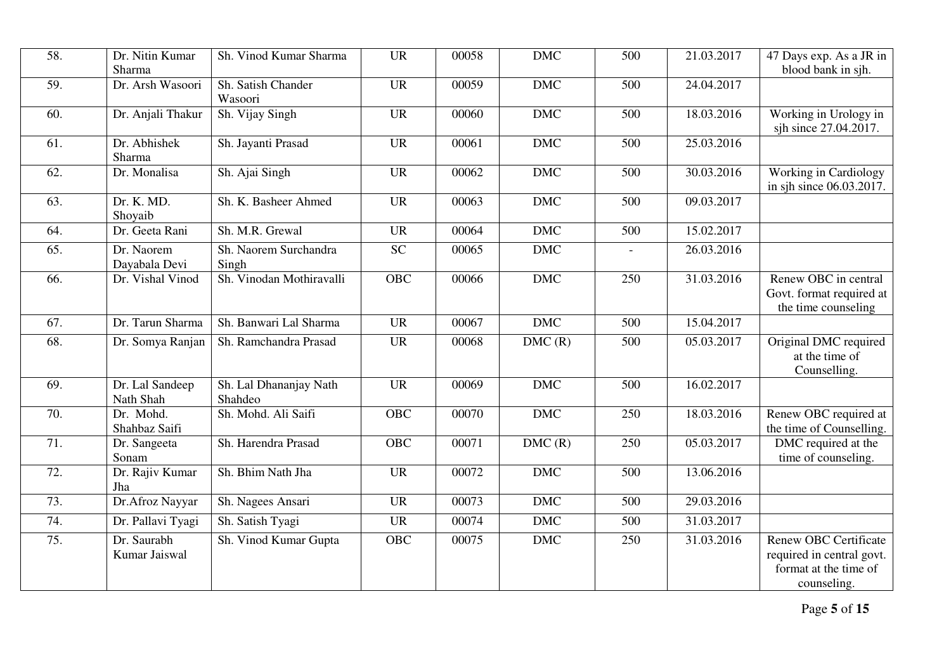| 58. | Dr. Nitin Kumar              | Sh. Vinod Kumar Sharma            | <b>UR</b>       | 00058 | $DMC$      | 500 | 21.03.2017 | 47 Days exp. As a JR in                                                                           |
|-----|------------------------------|-----------------------------------|-----------------|-------|------------|-----|------------|---------------------------------------------------------------------------------------------------|
|     | Sharma                       |                                   |                 |       |            |     |            | blood bank in sjh.                                                                                |
| 59. | Dr. Arsh Wasoori             | Sh. Satish Chander<br>Wasoori     | <b>UR</b>       | 00059 | <b>DMC</b> | 500 | 24.04.2017 |                                                                                                   |
| 60. | Dr. Anjali Thakur            | Sh. Vijay Singh                   | <b>UR</b>       | 00060 | DMC        | 500 | 18.03.2016 | Working in Urology in<br>sjh since 27.04.2017.                                                    |
| 61. | Dr. Abhishek<br>Sharma       | Sh. Jayanti Prasad                | <b>UR</b>       | 00061 | <b>DMC</b> | 500 | 25.03.2016 |                                                                                                   |
| 62. | Dr. Monalisa                 | Sh. Ajai Singh                    | <b>UR</b>       | 00062 | <b>DMC</b> | 500 | 30.03.2016 | Working in Cardiology<br>in sjh since 06.03.2017.                                                 |
| 63. | Dr. K. MD.<br>Shoyaib        | Sh. K. Basheer Ahmed              | <b>UR</b>       | 00063 | <b>DMC</b> | 500 | 09.03.2017 |                                                                                                   |
| 64. | Dr. Geeta Rani               | Sh. M.R. Grewal                   | <b>UR</b>       | 00064 | <b>DMC</b> | 500 | 15.02.2017 |                                                                                                   |
| 65. | Dr. Naorem<br>Dayabala Devi  | Sh. Naorem Surchandra<br>Singh    | $\overline{SC}$ | 00065 | DMC        |     | 26.03.2016 |                                                                                                   |
| 66. | Dr. Vishal Vinod             | Sh. Vinodan Mothiravalli          | OBC             | 00066 | <b>DMC</b> | 250 | 31.03.2016 | Renew OBC in central<br>Govt. format required at<br>the time counseling                           |
| 67. | Dr. Tarun Sharma             | Sh. Banwari Lal Sharma            | <b>UR</b>       | 00067 | <b>DMC</b> | 500 | 15.04.2017 |                                                                                                   |
| 68. | Dr. Somya Ranjan             | Sh. Ramchandra Prasad             | <b>UR</b>       | 00068 | DMC(R)     | 500 | 05.03.2017 | Original DMC required<br>at the time of<br>Counselling.                                           |
| 69. | Dr. Lal Sandeep<br>Nath Shah | Sh. Lal Dhananjay Nath<br>Shahdeo | <b>UR</b>       | 00069 | <b>DMC</b> | 500 | 16.02.2017 |                                                                                                   |
| 70. | Dr. Mohd.<br>Shahbaz Saifi   | Sh. Mohd. Ali Saifi               | <b>OBC</b>      | 00070 | <b>DMC</b> | 250 | 18.03.2016 | Renew OBC required at<br>the time of Counselling.                                                 |
| 71. | Dr. Sangeeta<br>Sonam        | Sh. Harendra Prasad               | <b>OBC</b>      | 00071 | DMC(R)     | 250 | 05.03.2017 | DMC required at the<br>time of counseling.                                                        |
| 72. | Dr. Rajiv Kumar<br>Jha       | Sh. Bhim Nath Jha                 | <b>UR</b>       | 00072 | <b>DMC</b> | 500 | 13.06.2016 |                                                                                                   |
| 73. | Dr. Afroz Nayyar             | Sh. Nagees Ansari                 | <b>UR</b>       | 00073 | <b>DMC</b> | 500 | 29.03.2016 |                                                                                                   |
| 74. | Dr. Pallavi Tyagi            | Sh. Satish Tyagi                  | <b>UR</b>       | 00074 | <b>DMC</b> | 500 | 31.03.2017 |                                                                                                   |
| 75. | Dr. Saurabh<br>Kumar Jaiswal | Sh. Vinod Kumar Gupta             | <b>OBC</b>      | 00075 | $DMC$      | 250 | 31.03.2016 | <b>Renew OBC Certificate</b><br>required in central govt.<br>format at the time of<br>counseling. |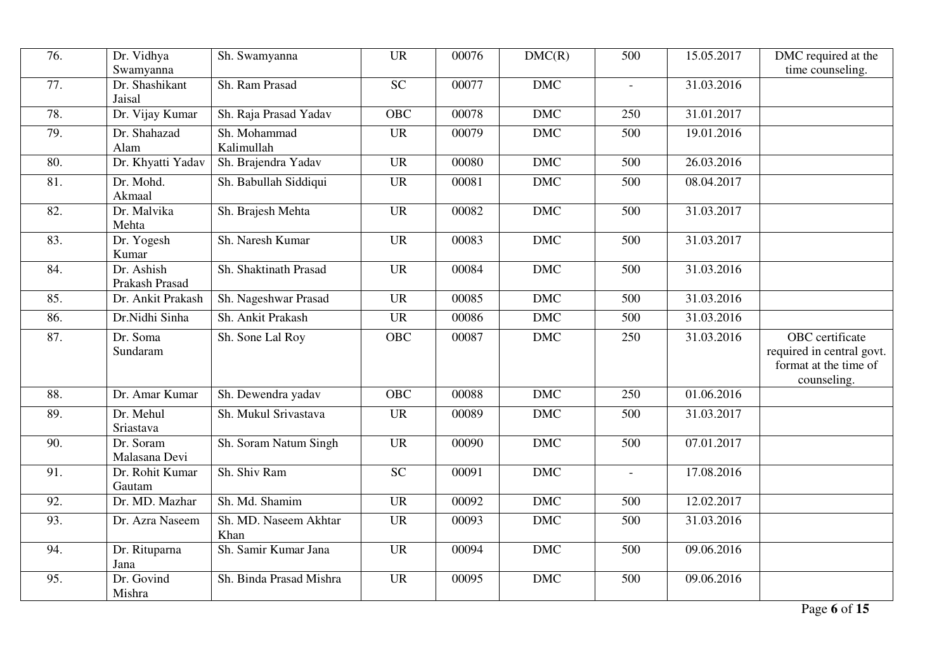| 76. | Dr. Vidhya                            | Sh. Swamyanna                 | <b>UR</b>       | 00076 | DMC(R)     | 500      | 15.05.2017 | DMC required at the                                                                  |
|-----|---------------------------------------|-------------------------------|-----------------|-------|------------|----------|------------|--------------------------------------------------------------------------------------|
| 77. | Swamyanna<br>Dr. Shashikant<br>Jaisal | Sh. Ram Prasad                | $\overline{SC}$ | 00077 | <b>DMC</b> | $\equiv$ | 31.03.2016 | time counseling.                                                                     |
| 78. | Dr. Vijay Kumar                       | Sh. Raja Prasad Yadav         | <b>OBC</b>      | 00078 | <b>DMC</b> | 250      | 31.01.2017 |                                                                                      |
| 79. | Dr. Shahazad<br>Alam                  | Sh. Mohammad<br>Kalimullah    | <b>UR</b>       | 00079 | <b>DMC</b> | 500      | 19.01.2016 |                                                                                      |
| 80. | Dr. Khyatti Yadav                     | Sh. Brajendra Yadav           | <b>UR</b>       | 00080 | <b>DMC</b> | 500      | 26.03.2016 |                                                                                      |
| 81. | Dr. Mohd.<br>Akmaal                   | Sh. Babullah Siddiqui         | <b>UR</b>       | 00081 | <b>DMC</b> | 500      | 08.04.2017 |                                                                                      |
| 82. | Dr. Malvika<br>Mehta                  | Sh. Brajesh Mehta             | <b>UR</b>       | 00082 | DMC        | 500      | 31.03.2017 |                                                                                      |
| 83. | Dr. Yogesh<br>Kumar                   | Sh. Naresh Kumar              | <b>UR</b>       | 00083 | <b>DMC</b> | 500      | 31.03.2017 |                                                                                      |
| 84. | Dr. Ashish<br>Prakash Prasad          | Sh. Shaktinath Prasad         | <b>UR</b>       | 00084 | <b>DMC</b> | 500      | 31.03.2016 |                                                                                      |
| 85. | Dr. Ankit Prakash                     | Sh. Nageshwar Prasad          | <b>UR</b>       | 00085 | <b>DMC</b> | 500      | 31.03.2016 |                                                                                      |
| 86. | Dr.Nidhi Sinha                        | Sh. Ankit Prakash             | <b>UR</b>       | 00086 | <b>DMC</b> | 500      | 31.03.2016 |                                                                                      |
| 87. | Dr. Soma<br>Sundaram                  | Sh. Sone Lal Roy              | OBC             | 00087 | $DMC$      | 250      | 31.03.2016 | OBC certificate<br>required in central govt.<br>format at the time of<br>counseling. |
| 88. | Dr. Amar Kumar                        | Sh. Dewendra yadav            | <b>OBC</b>      | 00088 | <b>DMC</b> | 250      | 01.06.2016 |                                                                                      |
| 89. | Dr. Mehul<br>Sriastava                | Sh. Mukul Srivastava          | <b>UR</b>       | 00089 | <b>DMC</b> | 500      | 31.03.2017 |                                                                                      |
| 90. | Dr. Soram<br>Malasana Devi            | Sh. Soram Natum Singh         | <b>UR</b>       | 00090 | <b>DMC</b> | 500      | 07.01.2017 |                                                                                      |
| 91. | Dr. Rohit Kumar<br>Gautam             | Sh. Shiv Ram                  | <b>SC</b>       | 00091 | <b>DMC</b> | $\equiv$ | 17.08.2016 |                                                                                      |
| 92. | Dr. MD. Mazhar                        | Sh. Md. Shamim                | <b>UR</b>       | 00092 | <b>DMC</b> | 500      | 12.02.2017 |                                                                                      |
| 93. | Dr. Azra Naseem                       | Sh. MD. Naseem Akhtar<br>Khan | <b>UR</b>       | 00093 | <b>DMC</b> | 500      | 31.03.2016 |                                                                                      |
| 94. | Dr. Rituparna<br>Jana                 | Sh. Samir Kumar Jana          | <b>UR</b>       | 00094 | <b>DMC</b> | 500      | 09.06.2016 |                                                                                      |
| 95. | Dr. Govind<br>Mishra                  | Sh. Binda Prasad Mishra       | <b>UR</b>       | 00095 | <b>DMC</b> | 500      | 09.06.2016 |                                                                                      |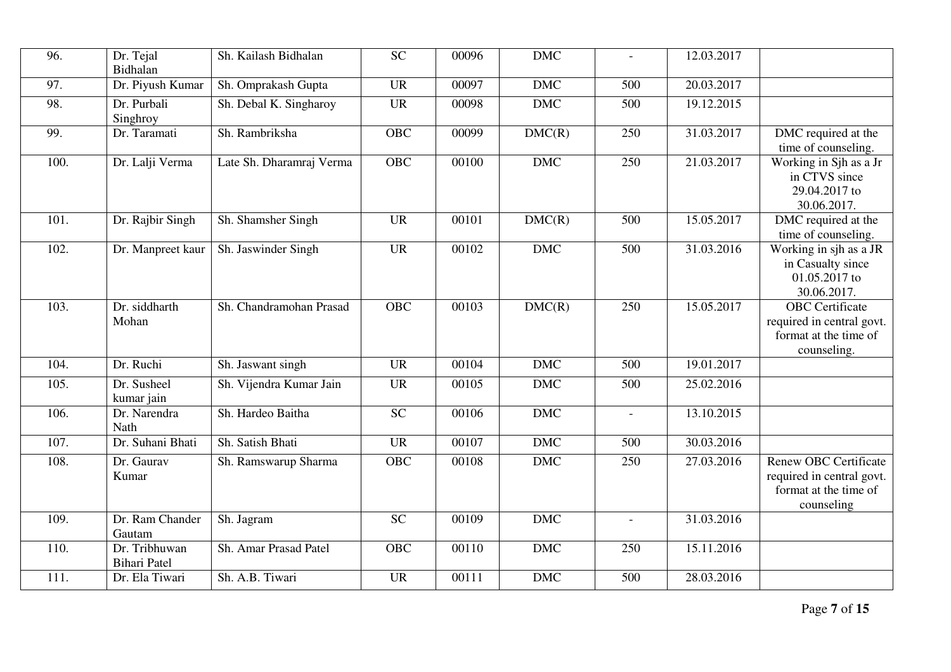| 96.  | Dr. Tejal<br>Bidhalan                | Sh. Kailash Bidhalan     | <b>SC</b>  | 00096 | <b>DMC</b> | $\blacksquare$           | 12.03.2017 |                                                                                                  |
|------|--------------------------------------|--------------------------|------------|-------|------------|--------------------------|------------|--------------------------------------------------------------------------------------------------|
| 97.  | Dr. Piyush Kumar                     | Sh. Omprakash Gupta      | <b>UR</b>  | 00097 | <b>DMC</b> | 500                      | 20.03.2017 |                                                                                                  |
| 98.  | Dr. Purbali<br>Singhroy              | Sh. Debal K. Singharoy   | <b>UR</b>  | 00098 | <b>DMC</b> | 500                      | 19.12.2015 |                                                                                                  |
| 99.  | Dr. Taramati                         | Sh. Rambriksha           | <b>OBC</b> | 00099 | DMC(R)     | 250                      | 31.03.2017 | DMC required at the<br>time of counseling.                                                       |
| 100. | Dr. Lalji Verma                      | Late Sh. Dharamraj Verma | <b>OBC</b> | 00100 | <b>DMC</b> | 250                      | 21.03.2017 | Working in Sjh as a Jr<br>in CTVS since<br>29.04.2017 to<br>30.06.2017.                          |
| 101. | Dr. Rajbir Singh                     | Sh. Shamsher Singh       | <b>UR</b>  | 00101 | DMC(R)     | 500                      | 15.05.2017 | DMC required at the<br>time of counseling.                                                       |
| 102. | Dr. Manpreet kaur                    | Sh. Jaswinder Singh      | <b>UR</b>  | 00102 | <b>DMC</b> | 500                      | 31.03.2016 | Working in sjh as a JR<br>in Casualty since<br>01.05.2017 to<br>30.06.2017.                      |
| 103. | Dr. siddharth<br>Mohan               | Sh. Chandramohan Prasad  | OBC        | 00103 | DMC(R)     | 250                      | 15.05.2017 | <b>OBC</b> Certificate<br>required in central govt.<br>format at the time of<br>counseling.      |
| 104. | Dr. Ruchi                            | Sh. Jaswant singh        | <b>UR</b>  | 00104 | <b>DMC</b> | 500                      | 19.01.2017 |                                                                                                  |
| 105. | Dr. Susheel<br>kumar jain            | Sh. Vijendra Kumar Jain  | <b>UR</b>  | 00105 | <b>DMC</b> | 500                      | 25.02.2016 |                                                                                                  |
| 106. | Dr. Narendra<br>Nath                 | Sh. Hardeo Baitha        | <b>SC</b>  | 00106 | <b>DMC</b> | $\bar{\phantom{a}}$      | 13.10.2015 |                                                                                                  |
| 107. | Dr. Suhani Bhati                     | Sh. Satish Bhati         | <b>UR</b>  | 00107 | <b>DMC</b> | 500                      | 30.03.2016 |                                                                                                  |
| 108. | Dr. Gaurav<br>Kumar                  | Sh. Ramswarup Sharma     | OBC        | 00108 | $DMC$      | 250                      | 27.03.2016 | <b>Renew OBC Certificate</b><br>required in central govt.<br>format at the time of<br>counseling |
| 109. | Dr. Ram Chander<br>Gautam            | Sh. Jagram               | <b>SC</b>  | 00109 | <b>DMC</b> | $\overline{\phantom{a}}$ | 31.03.2016 |                                                                                                  |
| 110. | Dr. Tribhuwan<br><b>Bihari</b> Patel | Sh. Amar Prasad Patel    | <b>OBC</b> | 00110 | <b>DMC</b> | 250                      | 15.11.2016 |                                                                                                  |
| 111. | Dr. Ela Tiwari                       | Sh. A.B. Tiwari          | <b>UR</b>  | 00111 | <b>DMC</b> | 500                      | 28.03.2016 |                                                                                                  |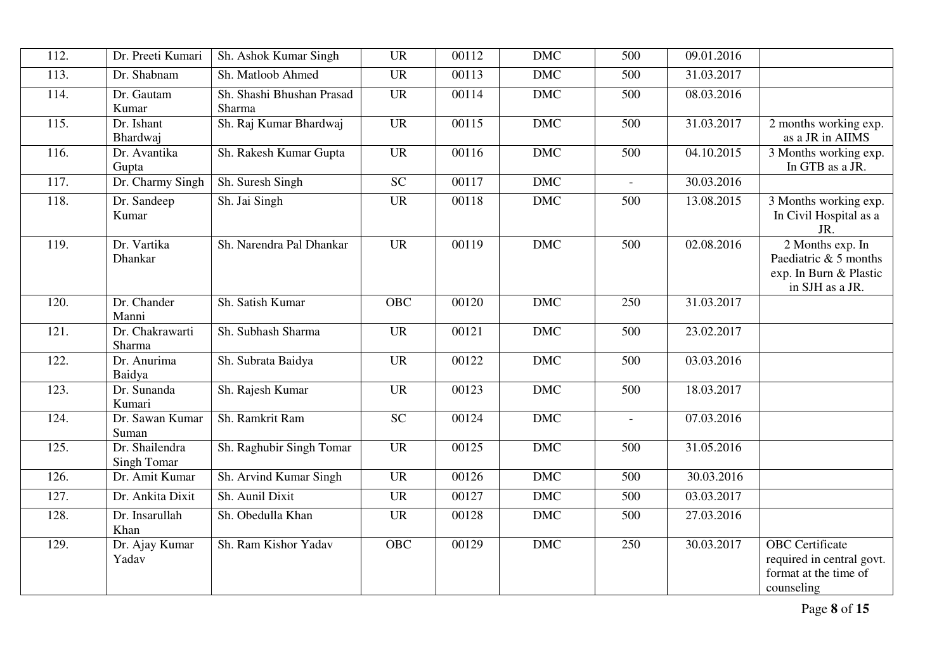| 112. | Dr. Preeti Kumari             | Sh. Ashok Kumar Singh               | <b>UR</b>  | 00112 | <b>DMC</b>     | 500            | 09.01.2016 |                                                                                            |
|------|-------------------------------|-------------------------------------|------------|-------|----------------|----------------|------------|--------------------------------------------------------------------------------------------|
| 113. | Dr. Shabnam                   | Sh. Matloob Ahmed                   | <b>UR</b>  | 00113 | $\mathbf{DMC}$ | 500            | 31.03.2017 |                                                                                            |
| 114. | Dr. Gautam<br>Kumar           | Sh. Shashi Bhushan Prasad<br>Sharma | <b>UR</b>  | 00114 | <b>DMC</b>     | 500            | 08.03.2016 |                                                                                            |
| 115. | Dr. Ishant<br>Bhardwaj        | Sh. Raj Kumar Bhardwaj              | <b>UR</b>  | 00115 | <b>DMC</b>     | 500            | 31.03.2017 | 2 months working exp.<br>as a JR in AIIMS                                                  |
| 116. | Dr. Avantika<br>Gupta         | Sh. Rakesh Kumar Gupta              | <b>UR</b>  | 00116 | <b>DMC</b>     | 500            | 04.10.2015 | 3 Months working exp.<br>In GTB as a JR.                                                   |
| 117. | Dr. Charmy Singh              | Sh. Suresh Singh                    | <b>SC</b>  | 00117 | <b>DMC</b>     | $\blacksquare$ | 30.03.2016 |                                                                                            |
| 118. | Dr. Sandeep<br>Kumar          | Sh. Jai Singh                       | <b>UR</b>  | 00118 | $DMC$          | 500            | 13.08.2015 | 3 Months working exp.<br>In Civil Hospital as a<br>JR.                                     |
| 119. | Dr. Vartika<br>Dhankar        | Sh. Narendra Pal Dhankar            | <b>UR</b>  | 00119 | <b>DMC</b>     | 500            | 02.08.2016 | 2 Months exp. In<br>Paediatric & 5 months<br>exp. In Burn & Plastic<br>in SJH as a JR.     |
| 120. | Dr. Chander<br>Manni          | Sh. Satish Kumar                    | <b>OBC</b> | 00120 | <b>DMC</b>     | 250            | 31.03.2017 |                                                                                            |
| 121. | Dr. Chakrawarti<br>Sharma     | Sh. Subhash Sharma                  | <b>UR</b>  | 00121 | <b>DMC</b>     | 500            | 23.02.2017 |                                                                                            |
| 122. | Dr. Anurima<br>Baidya         | Sh. Subrata Baidya                  | <b>UR</b>  | 00122 | <b>DMC</b>     | 500            | 03.03.2016 |                                                                                            |
| 123. | Dr. Sunanda<br>Kumari         | Sh. Rajesh Kumar                    | <b>UR</b>  | 00123 | <b>DMC</b>     | 500            | 18.03.2017 |                                                                                            |
| 124. | Dr. Sawan Kumar<br>Suman      | Sh. Ramkrit Ram                     | <b>SC</b>  | 00124 | <b>DMC</b>     | $\overline{a}$ | 07.03.2016 |                                                                                            |
| 125. | Dr. Shailendra<br>Singh Tomar | Sh. Raghubir Singh Tomar            | <b>UR</b>  | 00125 | <b>DMC</b>     | 500            | 31.05.2016 |                                                                                            |
| 126. | Dr. Amit Kumar                | Sh. Arvind Kumar Singh              | <b>UR</b>  | 00126 | <b>DMC</b>     | 500            | 30.03.2016 |                                                                                            |
| 127. | Dr. Ankita Dixit              | Sh. Aunil Dixit                     | <b>UR</b>  | 00127 | <b>DMC</b>     | 500            | 03.03.2017 |                                                                                            |
| 128. | Dr. Insarullah<br>Khan        | Sh. Obedulla Khan                   | <b>UR</b>  | 00128 | <b>DMC</b>     | 500            | 27.03.2016 |                                                                                            |
| 129. | Dr. Ajay Kumar<br>Yadav       | Sh. Ram Kishor Yadav                | <b>OBC</b> | 00129 | <b>DMC</b>     | 250            | 30.03.2017 | <b>OBC</b> Certificate<br>required in central govt.<br>format at the time of<br>counseling |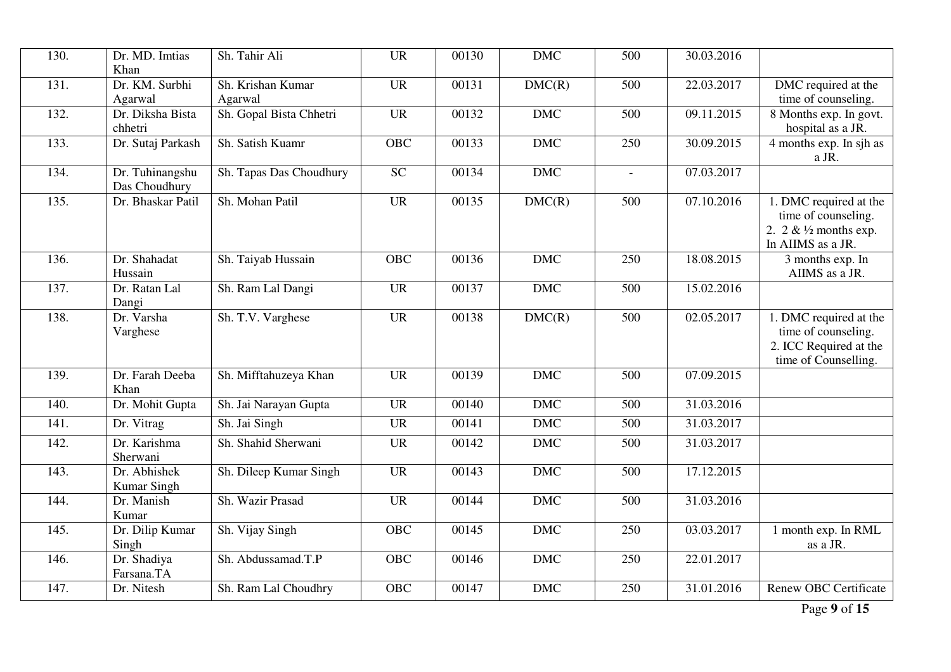| 130.               | Dr. MD. Imtias<br>Khan           | Sh. Tahir Ali                | <b>UR</b>       | 00130 | <b>DMC</b> | 500            | 30.03.2016 |                                                                                                 |
|--------------------|----------------------------------|------------------------------|-----------------|-------|------------|----------------|------------|-------------------------------------------------------------------------------------------------|
| 131.               | Dr. KM. Surbhi<br>Agarwal        | Sh. Krishan Kumar<br>Agarwal | <b>UR</b>       | 00131 | DMC(R)     | 500            | 22.03.2017 | DMC required at the<br>time of counseling.                                                      |
| 132.               | Dr. Diksha Bista<br>chhetri      | Sh. Gopal Bista Chhetri      | <b>UR</b>       | 00132 | <b>DMC</b> | 500            | 09.11.2015 | 8 Months exp. In govt.<br>hospital as a JR.                                                     |
| 133.               | Dr. Sutaj Parkash                | Sh. Satish Kuamr             | OBC             | 00133 | <b>DMC</b> | 250            | 30.09.2015 | 4 months exp. In sjh as<br>a JR.                                                                |
| 134.               | Dr. Tuhinangshu<br>Das Choudhury | Sh. Tapas Das Choudhury      | $\overline{SC}$ | 00134 | <b>DMC</b> | $\overline{a}$ | 07.03.2017 |                                                                                                 |
| 135.               | Dr. Bhaskar Patil                | Sh. Mohan Patil              | <b>UR</b>       | 00135 | DMC(R)     | 500            | 07.10.2016 | 1. DMC required at the<br>time of counseling.<br>2. $2 \& 1/2$ months exp.<br>In AIIMS as a JR. |
| 136.               | Dr. Shahadat<br>Hussain          | Sh. Taiyab Hussain           | <b>OBC</b>      | 00136 | <b>DMC</b> | 250            | 18.08.2015 | 3 months exp. In<br>AIIMS as a JR.                                                              |
| 137.               | Dr. Ratan Lal<br>Dangi           | Sh. Ram Lal Dangi            | <b>UR</b>       | 00137 | <b>DMC</b> | 500            | 15.02.2016 |                                                                                                 |
| 138.               | Dr. Varsha<br>Varghese           | Sh. T.V. Varghese            | <b>UR</b>       | 00138 | DMC(R)     | 500            | 02.05.2017 | 1. DMC required at the<br>time of counseling.<br>2. ICC Required at the<br>time of Counselling. |
| 139.               | Dr. Farah Deeba<br>Khan          | Sh. Mifftahuzeya Khan        | <b>UR</b>       | 00139 | <b>DMC</b> | 500            | 07.09.2015 |                                                                                                 |
| 140.               | Dr. Mohit Gupta                  | Sh. Jai Narayan Gupta        | <b>UR</b>       | 00140 | <b>DMC</b> | 500            | 31.03.2016 |                                                                                                 |
| $\overline{141}$ . | Dr. Vitrag                       | Sh. Jai Singh                | <b>UR</b>       | 00141 | <b>DMC</b> | 500            | 31.03.2017 |                                                                                                 |
| 142.               | Dr. Karishma<br>Sherwani         | Sh. Shahid Sherwani          | <b>UR</b>       | 00142 | <b>DMC</b> | 500            | 31.03.2017 |                                                                                                 |
| 143.               | Dr. Abhishek<br>Kumar Singh      | Sh. Dileep Kumar Singh       | <b>UR</b>       | 00143 | <b>DMC</b> | 500            | 17.12.2015 |                                                                                                 |
| 144.               | Dr. Manish<br>Kumar              | Sh. Wazir Prasad             | <b>UR</b>       | 00144 | <b>DMC</b> | 500            | 31.03.2016 |                                                                                                 |
| 145.               | Dr. Dilip Kumar<br>Singh         | Sh. Vijay Singh              | <b>OBC</b>      | 00145 | <b>DMC</b> | 250            | 03.03.2017 | 1 month exp. In RML<br>as a JR.                                                                 |
| 146.               | Dr. Shadiya<br>Farsana.TA        | Sh. Abdussamad.T.P           | <b>OBC</b>      | 00146 | <b>DMC</b> | 250            | 22.01.2017 |                                                                                                 |
| 147.               | Dr. Nitesh                       | Sh. Ram Lal Choudhry         | <b>OBC</b>      | 00147 | <b>DMC</b> | 250            | 31.01.2016 | <b>Renew OBC Certificate</b>                                                                    |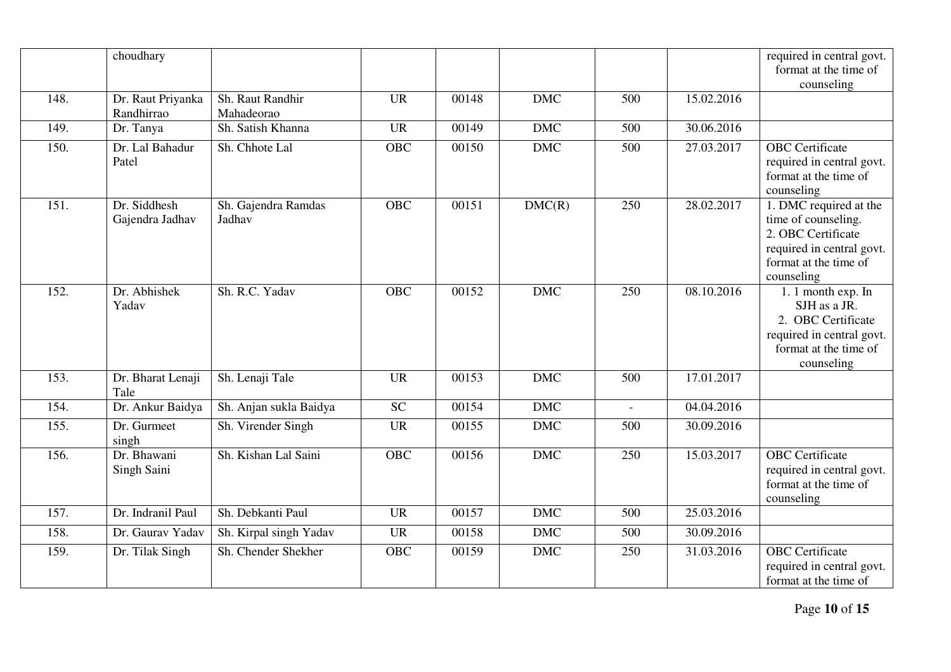|      | choudhary         |                        |            |       |            |              |            | required in central govt.                          |
|------|-------------------|------------------------|------------|-------|------------|--------------|------------|----------------------------------------------------|
|      |                   |                        |            |       |            |              |            | format at the time of                              |
|      |                   |                        |            |       |            |              |            | counseling                                         |
| 148. | Dr. Raut Priyanka | Sh. Raut Randhir       | <b>UR</b>  | 00148 | <b>DMC</b> | 500          | 15.02.2016 |                                                    |
|      | Randhirrao        | Mahadeorao             |            |       |            |              |            |                                                    |
| 149. | Dr. Tanya         | Sh. Satish Khanna      | <b>UR</b>  | 00149 | <b>DMC</b> | 500          | 30.06.2016 |                                                    |
| 150. | Dr. Lal Bahadur   | Sh. Chhote Lal         | <b>OBC</b> | 00150 | <b>DMC</b> | 500          | 27.03.2017 | <b>OBC</b> Certificate                             |
|      | Patel             |                        |            |       |            |              |            | required in central govt.                          |
|      |                   |                        |            |       |            |              |            | format at the time of                              |
|      |                   |                        |            |       |            |              |            | counseling                                         |
| 151. | Dr. Siddhesh      | Sh. Gajendra Ramdas    | <b>OBC</b> | 00151 | DMC(R)     | 250          | 28.02.2017 | 1. DMC required at the                             |
|      | Gajendra Jadhav   | Jadhav                 |            |       |            |              |            | time of counseling.                                |
|      |                   |                        |            |       |            |              |            | 2. OBC Certificate                                 |
|      |                   |                        |            |       |            |              |            | required in central govt.                          |
|      |                   |                        |            |       |            |              |            | format at the time of                              |
|      |                   |                        |            |       |            |              |            | counseling                                         |
| 152. | Dr. Abhishek      | Sh. R.C. Yadav         | <b>OBC</b> | 00152 | <b>DMC</b> | 250          | 08.10.2016 | 1. 1 month exp. In                                 |
|      | Yadav             |                        |            |       |            |              |            | SJH as a JR.<br>2. OBC Certificate                 |
|      |                   |                        |            |       |            |              |            |                                                    |
|      |                   |                        |            |       |            |              |            | required in central govt.<br>format at the time of |
|      |                   |                        |            |       |            |              |            | counseling                                         |
| 153. | Dr. Bharat Lenaji | Sh. Lenaji Tale        | <b>UR</b>  | 00153 | <b>DMC</b> | 500          | 17.01.2017 |                                                    |
|      | Tale              |                        |            |       |            |              |            |                                                    |
| 154. | Dr. Ankur Baidya  | Sh. Anjan sukla Baidya | <b>SC</b>  | 00154 | <b>DMC</b> | $\mathbf{r}$ | 04.04.2016 |                                                    |
| 155. | Dr. Gurmeet       | Sh. Virender Singh     | <b>UR</b>  | 00155 | <b>DMC</b> | 500          | 30.09.2016 |                                                    |
|      | singh             |                        |            |       |            |              |            |                                                    |
| 156. | Dr. Bhawani       | Sh. Kishan Lal Saini   | <b>OBC</b> | 00156 | <b>DMC</b> | 250          | 15.03.2017 | <b>OBC</b> Certificate                             |
|      | Singh Saini       |                        |            |       |            |              |            | required in central govt.                          |
|      |                   |                        |            |       |            |              |            | format at the time of                              |
|      |                   |                        |            |       |            |              |            | counseling                                         |
| 157. | Dr. Indranil Paul | Sh. Debkanti Paul      | <b>UR</b>  | 00157 | <b>DMC</b> | 500          | 25.03.2016 |                                                    |
| 158. | Dr. Gaurav Yadav  | Sh. Kirpal singh Yadav | <b>UR</b>  | 00158 | <b>DMC</b> | 500          | 30.09.2016 |                                                    |
| 159. | Dr. Tilak Singh   | Sh. Chender Shekher    | <b>OBC</b> | 00159 | <b>DMC</b> | 250          | 31.03.2016 | <b>OBC</b> Certificate                             |
|      |                   |                        |            |       |            |              |            | required in central govt.                          |
|      |                   |                        |            |       |            |              |            | format at the time of                              |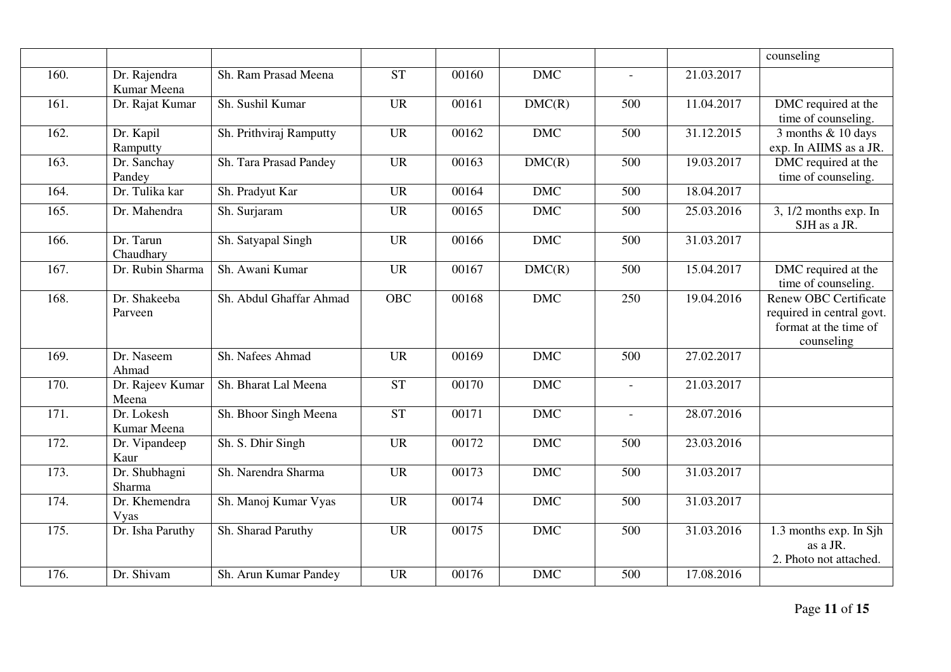|      |                             |                         |           |       |            |                |            | counseling                                                                                       |
|------|-----------------------------|-------------------------|-----------|-------|------------|----------------|------------|--------------------------------------------------------------------------------------------------|
| 160. | Dr. Rajendra<br>Kumar Meena | Sh. Ram Prasad Meena    | <b>ST</b> | 00160 | <b>DMC</b> |                | 21.03.2017 |                                                                                                  |
| 161. | Dr. Rajat Kumar             | Sh. Sushil Kumar        | <b>UR</b> | 00161 | DMC(R)     | 500            | 11.04.2017 | DMC required at the<br>time of counseling.                                                       |
| 162. | Dr. Kapil<br>Ramputty       | Sh. Prithviraj Ramputty | <b>UR</b> | 00162 | <b>DMC</b> | 500            | 31.12.2015 | 3 months & 10 days<br>exp. In AIIMS as a JR.                                                     |
| 163. | Dr. Sanchay<br>Pandey       | Sh. Tara Prasad Pandey  | <b>UR</b> | 00163 | DMC(R)     | 500            | 19.03.2017 | DMC required at the<br>time of counseling.                                                       |
| 164. | Dr. Tulika kar              | Sh. Pradyut Kar         | <b>UR</b> | 00164 | <b>DMC</b> | 500            | 18.04.2017 |                                                                                                  |
| 165. | Dr. Mahendra                | Sh. Surjaram            | <b>UR</b> | 00165 | <b>DMC</b> | 500            | 25.03.2016 | $3, 1/2$ months exp. In<br>SJH as a JR.                                                          |
| 166. | Dr. Tarun<br>Chaudhary      | Sh. Satyapal Singh      | <b>UR</b> | 00166 | <b>DMC</b> | 500            | 31.03.2017 |                                                                                                  |
| 167. | Dr. Rubin Sharma            | Sh. Awani Kumar         | <b>UR</b> | 00167 | DMC(R)     | 500            | 15.04.2017 | DMC required at the<br>time of counseling.                                                       |
| 168. | Dr. Shakeeba<br>Parveen     | Sh. Abdul Ghaffar Ahmad | OBC       | 00168 | <b>DMC</b> | 250            | 19.04.2016 | <b>Renew OBC Certificate</b><br>required in central govt.<br>format at the time of<br>counseling |
| 169. | Dr. Naseem<br>Ahmad         | Sh. Nafees Ahmad        | <b>UR</b> | 00169 | <b>DMC</b> | 500            | 27.02.2017 |                                                                                                  |
| 170. | Dr. Rajeev Kumar<br>Meena   | Sh. Bharat Lal Meena    | <b>ST</b> | 00170 | <b>DMC</b> | $\blacksquare$ | 21.03.2017 |                                                                                                  |
| 171. | Dr. Lokesh<br>Kumar Meena   | Sh. Bhoor Singh Meena   | <b>ST</b> | 00171 | <b>DMC</b> | $\overline{a}$ | 28.07.2016 |                                                                                                  |
| 172. | Dr. Vipandeep<br>Kaur       | Sh. S. Dhir Singh       | <b>UR</b> | 00172 | <b>DMC</b> | 500            | 23.03.2016 |                                                                                                  |
| 173. | Dr. Shubhagni<br>Sharma     | Sh. Narendra Sharma     | <b>UR</b> | 00173 | <b>DMC</b> | 500            | 31.03.2017 |                                                                                                  |
| 174. | Dr. Khemendra<br>Vyas       | Sh. Manoj Kumar Vyas    | <b>UR</b> | 00174 | <b>DMC</b> | 500            | 31.03.2017 |                                                                                                  |
| 175. | Dr. Isha Paruthy            | Sh. Sharad Paruthy      | <b>UR</b> | 00175 | <b>DMC</b> | 500            | 31.03.2016 | 1.3 months exp. In Sjh<br>as a JR.<br>2. Photo not attached.                                     |
| 176. | Dr. Shivam                  | Sh. Arun Kumar Pandey   | <b>UR</b> | 00176 | DMC        | 500            | 17.08.2016 |                                                                                                  |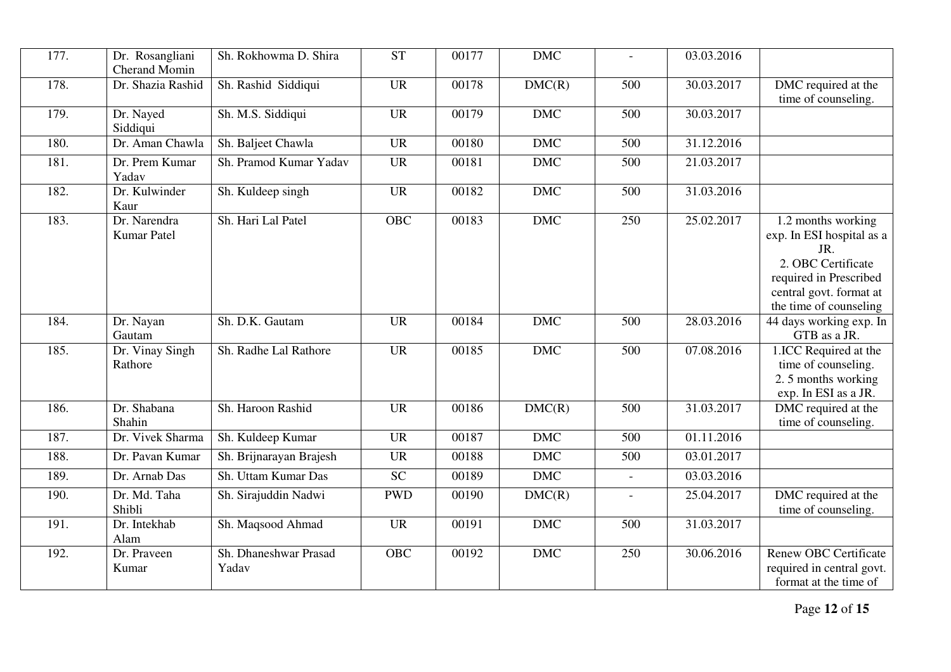| 177. | Dr. Rosangliani<br><b>Cherand Momin</b> | Sh. Rokhowma D. Shira          | <b>ST</b>  | 00177 | <b>DMC</b> | $\equiv$                 | 03.03.2016 |                                                                                                                                                             |
|------|-----------------------------------------|--------------------------------|------------|-------|------------|--------------------------|------------|-------------------------------------------------------------------------------------------------------------------------------------------------------------|
| 178. | Dr. Shazia Rashid                       | Sh. Rashid Siddiqui            | <b>UR</b>  | 00178 | DMC(R)     | 500                      | 30.03.2017 | DMC required at the<br>time of counseling.                                                                                                                  |
| 179. | Dr. Nayed<br>Siddiqui                   | Sh. M.S. Siddiqui              | <b>UR</b>  | 00179 | <b>DMC</b> | 500                      | 30.03.2017 |                                                                                                                                                             |
| 180. | Dr. Aman Chawla                         | Sh. Baljeet Chawla             | <b>UR</b>  | 00180 | <b>DMC</b> | 500                      | 31.12.2016 |                                                                                                                                                             |
| 181. | Dr. Prem Kumar<br>Yadav                 | Sh. Pramod Kumar Yadav         | <b>UR</b>  | 00181 | <b>DMC</b> | 500                      | 21.03.2017 |                                                                                                                                                             |
| 182. | Dr. Kulwinder<br>Kaur                   | Sh. Kuldeep singh              | <b>UR</b>  | 00182 | <b>DMC</b> | 500                      | 31.03.2016 |                                                                                                                                                             |
| 183. | Dr. Narendra<br>Kumar Patel             | Sh. Hari Lal Patel             | OBC        | 00183 | <b>DMC</b> | 250                      | 25.02.2017 | 1.2 months working<br>exp. In ESI hospital as a<br>JR.<br>2. OBC Certificate<br>required in Prescribed<br>central govt. format at<br>the time of counseling |
| 184. | Dr. Nayan<br>Gautam                     | Sh. D.K. Gautam                | <b>UR</b>  | 00184 | <b>DMC</b> | 500                      | 28.03.2016 | 44 days working exp. In<br>GTB as a JR.                                                                                                                     |
| 185. | Dr. Vinay Singh<br>Rathore              | Sh. Radhe Lal Rathore          | <b>UR</b>  | 00185 | <b>DMC</b> | 500                      | 07.08.2016 | 1.ICC Required at the<br>time of counseling.<br>2.5 months working<br>exp. In ESI as a JR.                                                                  |
| 186. | Dr. Shabana<br>Shahin                   | Sh. Haroon Rashid              | <b>UR</b>  | 00186 | DMC(R)     | 500                      | 31.03.2017 | DMC required at the<br>time of counseling.                                                                                                                  |
| 187. | Dr. Vivek Sharma                        | Sh. Kuldeep Kumar              | <b>UR</b>  | 00187 | <b>DMC</b> | 500                      | 01.11.2016 |                                                                                                                                                             |
| 188. | Dr. Pavan Kumar                         | Sh. Brijnarayan Brajesh        | <b>UR</b>  | 00188 | <b>DMC</b> | 500                      | 03.01.2017 |                                                                                                                                                             |
| 189. | Dr. Arnab Das                           | Sh. Uttam Kumar Das            | <b>SC</b>  | 00189 | <b>DMC</b> | $\overline{\phantom{a}}$ | 03.03.2016 |                                                                                                                                                             |
| 190. | Dr. Md. Taha<br>Shibli                  | Sh. Sirajuddin Nadwi           | <b>PWD</b> | 00190 | DMC(R)     | $\overline{a}$           | 25.04.2017 | DMC required at the<br>time of counseling.                                                                                                                  |
| 191. | Dr. Intekhab<br>Alam                    | Sh. Maqsood Ahmad              | <b>UR</b>  | 00191 | <b>DMC</b> | 500                      | 31.03.2017 |                                                                                                                                                             |
| 192. | Dr. Praveen<br>Kumar                    | Sh. Dhaneshwar Prasad<br>Yadav | <b>OBC</b> | 00192 | <b>DMC</b> | 250                      | 30.06.2016 | <b>Renew OBC Certificate</b><br>required in central govt.<br>format at the time of                                                                          |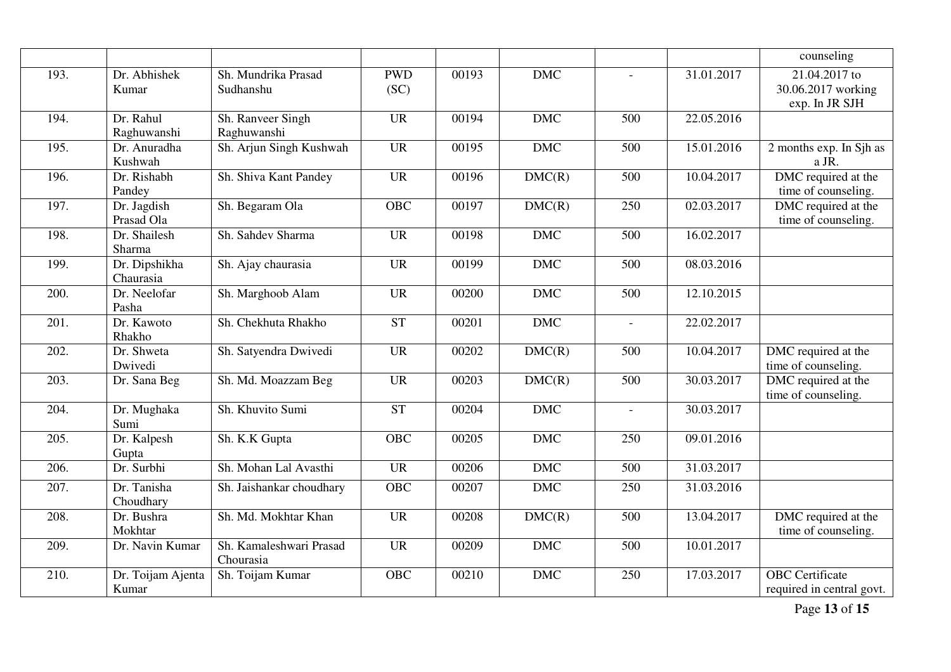|      |                            |                                      |                    |       |            |                          |            | counseling                                              |
|------|----------------------------|--------------------------------------|--------------------|-------|------------|--------------------------|------------|---------------------------------------------------------|
| 193. | Dr. Abhishek<br>Kumar      | Sh. Mundrika Prasad<br>Sudhanshu     | <b>PWD</b><br>(SC) | 00193 | <b>DMC</b> | $\overline{a}$           | 31.01.2017 | $21.04.2017$ to<br>30.06.2017 working<br>exp. In JR SJH |
| 194. | Dr. Rahul<br>Raghuwanshi   | Sh. Ranveer Singh<br>Raghuwanshi     | <b>UR</b>          | 00194 | <b>DMC</b> | 500                      | 22.05.2016 |                                                         |
| 195. | Dr. Anuradha<br>Kushwah    | Sh. Arjun Singh Kushwah              | <b>UR</b>          | 00195 | <b>DMC</b> | 500                      | 15.01.2016 | 2 months exp. In Sjh as<br>a JR.                        |
| 196. | Dr. Rishabh<br>Pandey      | Sh. Shiva Kant Pandey                | <b>UR</b>          | 00196 | DMC(R)     | 500                      | 10.04.2017 | DMC required at the<br>time of counseling.              |
| 197. | Dr. Jagdish<br>Prasad Ola  | Sh. Begaram Ola                      | <b>OBC</b>         | 00197 | DMC(R)     | 250                      | 02.03.2017 | DMC required at the<br>time of counseling.              |
| 198. | Dr. Shailesh<br>Sharma     | Sh. Sahdev Sharma                    | <b>UR</b>          | 00198 | <b>DMC</b> | 500                      | 16.02.2017 |                                                         |
| 199. | Dr. Dipshikha<br>Chaurasia | Sh. Ajay chaurasia                   | <b>UR</b>          | 00199 | <b>DMC</b> | 500                      | 08.03.2016 |                                                         |
| 200. | Dr. Neelofar<br>Pasha      | Sh. Marghoob Alam                    | <b>UR</b>          | 00200 | <b>DMC</b> | 500                      | 12.10.2015 |                                                         |
| 201. | Dr. Kawoto<br>Rhakho       | Sh. Chekhuta Rhakho                  | <b>ST</b>          | 00201 | <b>DMC</b> | $\overline{\phantom{a}}$ | 22.02.2017 |                                                         |
| 202. | Dr. Shweta<br>Dwivedi      | Sh. Satyendra Dwivedi                | <b>UR</b>          | 00202 | DMC(R)     | 500                      | 10.04.2017 | DMC required at the<br>time of counseling.              |
| 203. | Dr. Sana Beg               | Sh. Md. Moazzam Beg                  | <b>UR</b>          | 00203 | DMC(R)     | 500                      | 30.03.2017 | DMC required at the<br>time of counseling.              |
| 204. | Dr. Mughaka<br>Sumi        | Sh. Khuvito Sumi                     | <b>ST</b>          | 00204 | <b>DMC</b> | $\bar{a}$                | 30.03.2017 |                                                         |
| 205. | Dr. Kalpesh<br>Gupta       | Sh. K.K Gupta                        | <b>OBC</b>         | 00205 | <b>DMC</b> | 250                      | 09.01.2016 |                                                         |
| 206. | Dr. Surbhi                 | Sh. Mohan Lal Avasthi                | <b>UR</b>          | 00206 | <b>DMC</b> | 500                      | 31.03.2017 |                                                         |
| 207. | Dr. Tanisha<br>Choudhary   | Sh. Jaishankar choudhary             | <b>OBC</b>         | 00207 | <b>DMC</b> | 250                      | 31.03.2016 |                                                         |
| 208. | Dr. Bushra<br>Mokhtar      | Sh. Md. Mokhtar Khan                 | <b>UR</b>          | 00208 | DMC(R)     | 500                      | 13.04.2017 | DMC required at the<br>time of counseling.              |
| 209. | Dr. Navin Kumar            | Sh. Kamaleshwari Prasad<br>Chourasia | <b>UR</b>          | 00209 | <b>DMC</b> | 500                      | 10.01.2017 |                                                         |
| 210. | Dr. Toijam Ajenta<br>Kumar | Sh. Toijam Kumar                     | <b>OBC</b>         | 00210 | <b>DMC</b> | 250                      | 17.03.2017 | <b>OBC</b> Certificate<br>required in central govt.     |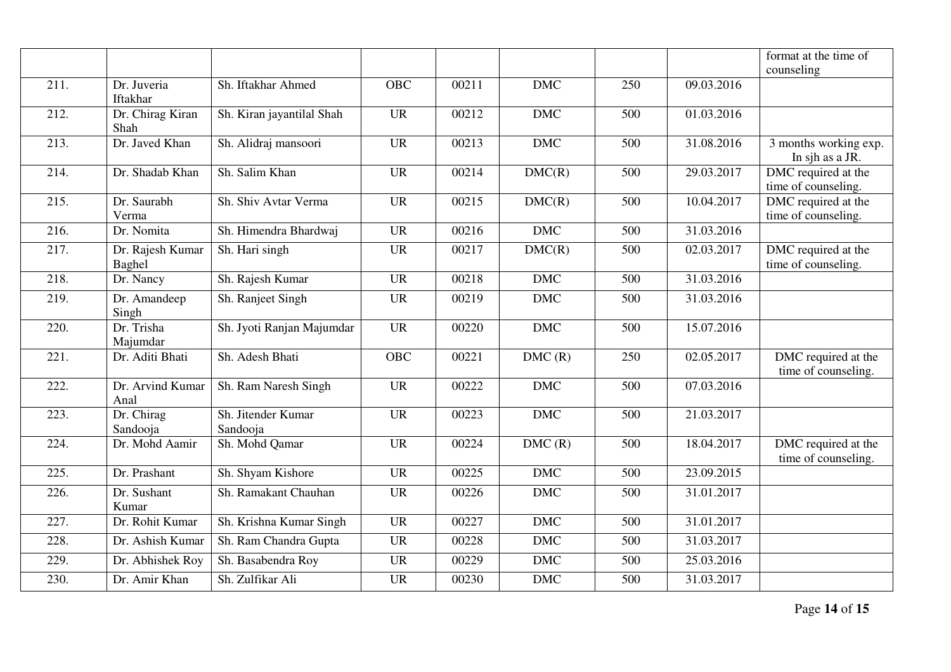|                    |                            |                                |            |       |            |     |            | format at the time of<br>counseling        |
|--------------------|----------------------------|--------------------------------|------------|-------|------------|-----|------------|--------------------------------------------|
| 211.               | Dr. Juveria<br>Iftakhar    | Sh. Iftakhar Ahmed             | <b>OBC</b> | 00211 | <b>DMC</b> | 250 | 09.03.2016 |                                            |
| 212.               | Dr. Chirag Kiran<br>Shah   | Sh. Kiran jayantilal Shah      | <b>UR</b>  | 00212 | <b>DMC</b> | 500 | 01.03.2016 |                                            |
| 213.               | Dr. Javed Khan             | Sh. Alidraj mansoori           | <b>UR</b>  | 00213 | <b>DMC</b> | 500 | 31.08.2016 | 3 months working exp.<br>In sjh as a JR.   |
| 214.               | Dr. Shadab Khan            | Sh. Salim Khan                 | <b>UR</b>  | 00214 | DMC(R)     | 500 | 29.03.2017 | DMC required at the<br>time of counseling. |
| 215.               | Dr. Saurabh<br>Verma       | Sh. Shiv Avtar Verma           | <b>UR</b>  | 00215 | DMC(R)     | 500 | 10.04.2017 | DMC required at the<br>time of counseling. |
| 216.               | Dr. Nomita                 | Sh. Himendra Bhardwaj          | <b>UR</b>  | 00216 | <b>DMC</b> | 500 | 31.03.2016 |                                            |
| $\overline{217}$ . | Dr. Rajesh Kumar<br>Baghel | Sh. Hari singh                 | <b>UR</b>  | 00217 | DMC(R)     | 500 | 02.03.2017 | DMC required at the<br>time of counseling. |
| 218.               | Dr. Nancy                  | Sh. Rajesh Kumar               | <b>UR</b>  | 00218 | <b>DMC</b> | 500 | 31.03.2016 |                                            |
| 219.               | Dr. Amandeep<br>Singh      | Sh. Ranjeet Singh              | <b>UR</b>  | 00219 | <b>DMC</b> | 500 | 31.03.2016 |                                            |
| 220.               | Dr. Trisha<br>Majumdar     | Sh. Jyoti Ranjan Majumdar      | <b>UR</b>  | 00220 | <b>DMC</b> | 500 | 15.07.2016 |                                            |
| 221.               | Dr. Aditi Bhati            | Sh. Adesh Bhati                | <b>OBC</b> | 00221 | DMC(R)     | 250 | 02.05.2017 | DMC required at the<br>time of counseling. |
| 222.               | Dr. Arvind Kumar<br>Anal   | Sh. Ram Naresh Singh           | <b>UR</b>  | 00222 | <b>DMC</b> | 500 | 07.03.2016 |                                            |
| 223.               | Dr. Chirag<br>Sandooja     | Sh. Jitender Kumar<br>Sandooja | <b>UR</b>  | 00223 | <b>DMC</b> | 500 | 21.03.2017 |                                            |
| 224.               | Dr. Mohd Aamir             | Sh. Mohd Qamar                 | <b>UR</b>  | 00224 | DMC(R)     | 500 | 18.04.2017 | DMC required at the<br>time of counseling. |
| 225.               | Dr. Prashant               | Sh. Shyam Kishore              | <b>UR</b>  | 00225 | <b>DMC</b> | 500 | 23.09.2015 |                                            |
| 226.               | Dr. Sushant<br>Kumar       | Sh. Ramakant Chauhan           | <b>UR</b>  | 00226 | <b>DMC</b> | 500 | 31.01.2017 |                                            |
| 227.               | Dr. Rohit Kumar            | Sh. Krishna Kumar Singh        | <b>UR</b>  | 00227 | <b>DMC</b> | 500 | 31.01.2017 |                                            |
| 228.               | Dr. Ashish Kumar           | Sh. Ram Chandra Gupta          | <b>UR</b>  | 00228 | <b>DMC</b> | 500 | 31.03.2017 |                                            |
| 229.               | Dr. Abhishek Roy           | Sh. Basabendra Roy             | <b>UR</b>  | 00229 | <b>DMC</b> | 500 | 25.03.2016 |                                            |
| 230.               | Dr. Amir Khan              | Sh. Zulfikar Ali               | <b>UR</b>  | 00230 | <b>DMC</b> | 500 | 31.03.2017 |                                            |